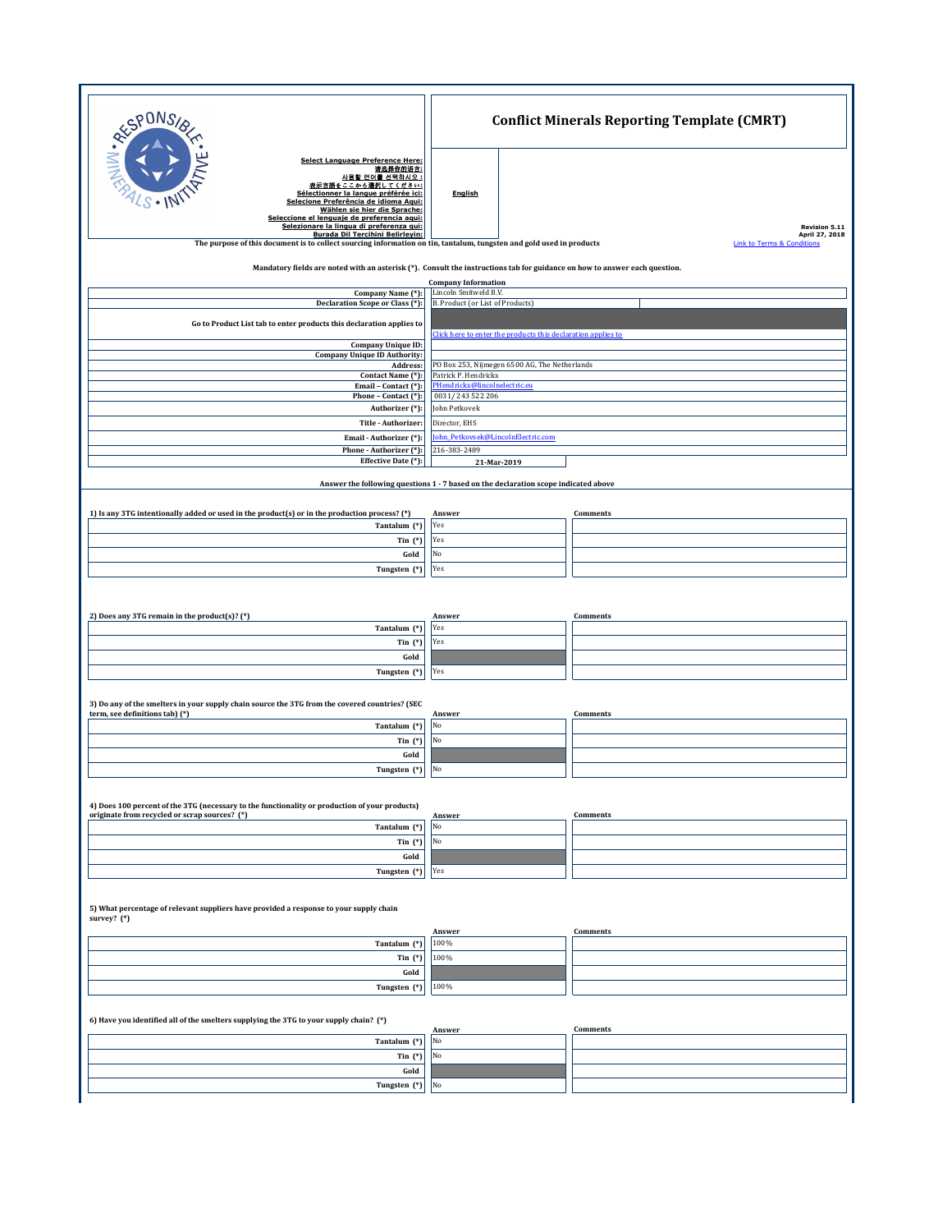| RESPONS                                                                                                                                                                                                                                                                                                  | <b>Conflict Minerals Reporting Template (CMRT)</b>                                  |                                                         |  |
|----------------------------------------------------------------------------------------------------------------------------------------------------------------------------------------------------------------------------------------------------------------------------------------------------------|-------------------------------------------------------------------------------------|---------------------------------------------------------|--|
| <b>Select Language Preference Here:</b><br>请选择你的语言:<br>사용할 언어를 선택하시오 :<br>表示言語をここから選択してください:<br>Sélectionner la langue préférée ici:<br>Selecione Preferência de idioma Agui:<br>Wählen sie hier die Sprache:<br>Seleccione el lenguaje de preferencia aqui:<br>Selezionare la lingua di preferenza qui: | <b>English</b>                                                                      | Revision 5.11                                           |  |
| Burada Dil Tercihini Belirleyin:<br>The purpose of this document is to collect sourcing information on tin, tantalum, tungsten and gold used in products                                                                                                                                                 |                                                                                     | April 27, 2018<br><b>Link to Terms &amp; Conditions</b> |  |
| Mandatory fields are noted with an asterisk (*). Consult the instructions tab for guidance on how to answer each question.                                                                                                                                                                               |                                                                                     |                                                         |  |
|                                                                                                                                                                                                                                                                                                          | <b>Company Information</b>                                                          |                                                         |  |
| Company Name (*):<br>Declaration Scope or Class (*):                                                                                                                                                                                                                                                     | Lincoln Smitweld B.V.<br>B. Product (or List of Products)                           |                                                         |  |
| Go to Product List tab to enter products this declaration applies to                                                                                                                                                                                                                                     |                                                                                     |                                                         |  |
| <b>Company Unique ID:</b><br><b>Company Unique ID Authority:</b><br>Address:                                                                                                                                                                                                                             | Click here to enter the products this declaration applies to                        |                                                         |  |
| Contact Name (*):                                                                                                                                                                                                                                                                                        | PO Box 253, Nijmegen 6500 AG, The Netherlands<br>Patrick P. Hendrickx               |                                                         |  |
| Email - Contact (*):<br>Phone - Contact (*):                                                                                                                                                                                                                                                             | PHendrickx@lincolnelectric.eu<br>0031/243 522 206                                   |                                                         |  |
| Authorizer (*):<br>Title - Authorizer:                                                                                                                                                                                                                                                                   | John Petkovek<br>Director, EHS                                                      |                                                         |  |
| Email - Authorizer (*):                                                                                                                                                                                                                                                                                  | ohn_Petkovsek@LincolnElectric.com                                                   |                                                         |  |
| Phone - Authorizer (*):<br>Effective Date (*):                                                                                                                                                                                                                                                           | 216-383-2489<br>21-Mar-2019                                                         |                                                         |  |
|                                                                                                                                                                                                                                                                                                          | Answer the following questions 1 - 7 based on the declaration scope indicated above |                                                         |  |
|                                                                                                                                                                                                                                                                                                          |                                                                                     |                                                         |  |
| 1) Is any 3TG intentionally added or used in the product(s) or in the production process? (*)                                                                                                                                                                                                            | Answer                                                                              | Comments                                                |  |
| Tantalum (*)<br>Tin $(*)$                                                                                                                                                                                                                                                                                | Yes<br>Yes                                                                          |                                                         |  |
| Gold                                                                                                                                                                                                                                                                                                     | No                                                                                  |                                                         |  |
| Tungsten (*)                                                                                                                                                                                                                                                                                             | Yes                                                                                 |                                                         |  |
|                                                                                                                                                                                                                                                                                                          |                                                                                     |                                                         |  |
| 2) Does any 3TG remain in the product(s)? (*)                                                                                                                                                                                                                                                            | Answer                                                                              | Comments                                                |  |
| Tantalum (*)<br>Tin $(*)$                                                                                                                                                                                                                                                                                | Yes<br>Yes                                                                          |                                                         |  |
| Gold                                                                                                                                                                                                                                                                                                     |                                                                                     |                                                         |  |
| Tungsten (*)                                                                                                                                                                                                                                                                                             | Yes                                                                                 |                                                         |  |
| 3) Do any of the smelters in your supply chain source the 3TG from the covered countries? (SEC<br>term, see definitions tab) (*)                                                                                                                                                                         | Answer                                                                              | Comments                                                |  |
| Tantalum (*)                                                                                                                                                                                                                                                                                             | No<br>No                                                                            |                                                         |  |
| Tin $(*)$<br>Gold                                                                                                                                                                                                                                                                                        |                                                                                     |                                                         |  |
| Tungsten (*)                                                                                                                                                                                                                                                                                             | No                                                                                  |                                                         |  |
|                                                                                                                                                                                                                                                                                                          |                                                                                     |                                                         |  |
| 4) Does 100 percent of the 3TG (necessary to the functionality or production of your products)<br>originate from recycled or scrap sources? (*)                                                                                                                                                          | <u>Answer</u>                                                                       | Comments                                                |  |
| Tantalum (*)                                                                                                                                                                                                                                                                                             | No                                                                                  |                                                         |  |
| Tin $(*)$<br>Gold                                                                                                                                                                                                                                                                                        | No                                                                                  |                                                         |  |
| Tungsten (*)                                                                                                                                                                                                                                                                                             | Yes                                                                                 |                                                         |  |
| 5) What percentage of relevant suppliers have provided a response to your supply chain<br>survey? (*)                                                                                                                                                                                                    |                                                                                     |                                                         |  |
| Tantalum (*)                                                                                                                                                                                                                                                                                             | Answer<br>100%                                                                      | Comments                                                |  |
| Tin $(*)$                                                                                                                                                                                                                                                                                                | 100%                                                                                |                                                         |  |
| Gold                                                                                                                                                                                                                                                                                                     |                                                                                     |                                                         |  |
| Tungsten (*)                                                                                                                                                                                                                                                                                             | 100%                                                                                |                                                         |  |
| 6) Have you identified all of the smelters supplying the 3TG to your supply chain? (*)                                                                                                                                                                                                                   |                                                                                     |                                                         |  |
| Tantalum (*)                                                                                                                                                                                                                                                                                             | Answer<br>No                                                                        | <b>Comments</b>                                         |  |
| Tin $(*)$                                                                                                                                                                                                                                                                                                | No                                                                                  |                                                         |  |
| Gold                                                                                                                                                                                                                                                                                                     |                                                                                     |                                                         |  |
| Tungsten (*)                                                                                                                                                                                                                                                                                             | No                                                                                  |                                                         |  |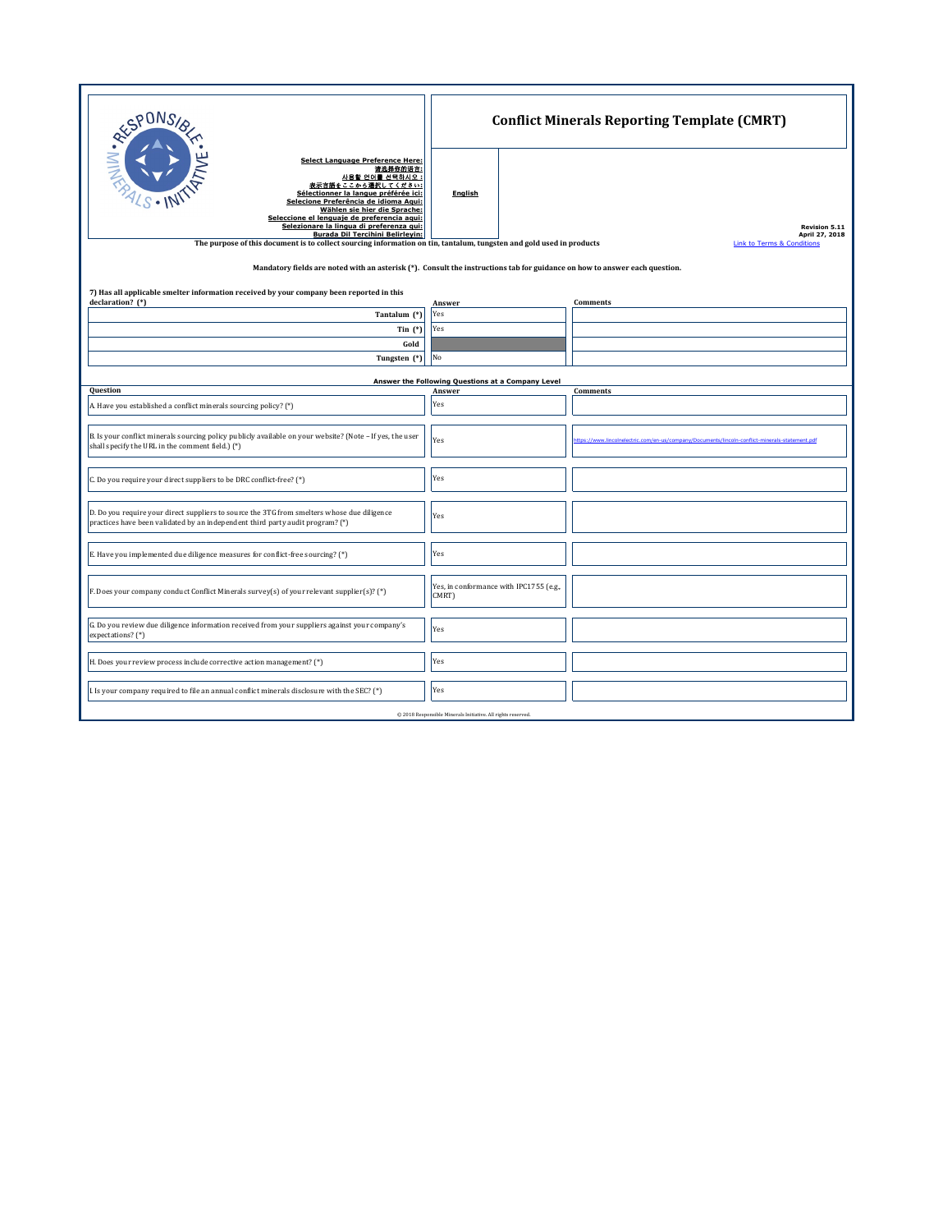| <b>RESPONS</b><br><b>Select Language Preference Here:</b><br>请选择你的语言:<br>사용할 언어를 선택하시오 :<br>表示言語をここから選択してください:<br>Sélectionner la langue préférée ici:<br>Selecione Preferência de idioma Agui:<br>Wählen sie hier die Sprache:<br>Seleccione el lenguaie de preferencia aqui:<br>Selezionare la lingua di preferenza gui:<br><b>Burada Dil Tercihini Belirleyin:</b><br>The purpose of this document is to collect sourcing information on tin, tantalum, tungsten and gold used in products<br>Mandatory fields are noted with an asterisk (*). Consult the instructions tab for guidance on how to answer each question. | <b>English</b>                                               | <b>Conflict Minerals Reporting Template (CMRT)</b><br><b>Revision 5.11</b><br>April 27, 2018<br><b>Link to Terms &amp; Conditions</b> |
|-----------------------------------------------------------------------------------------------------------------------------------------------------------------------------------------------------------------------------------------------------------------------------------------------------------------------------------------------------------------------------------------------------------------------------------------------------------------------------------------------------------------------------------------------------------------------------------------------------------------------------|--------------------------------------------------------------|---------------------------------------------------------------------------------------------------------------------------------------|
| 7) Has all applicable smelter information received by your company been reported in this<br>declaration? (*)                                                                                                                                                                                                                                                                                                                                                                                                                                                                                                                | Answer                                                       | Comments                                                                                                                              |
| Tantalum (*)                                                                                                                                                                                                                                                                                                                                                                                                                                                                                                                                                                                                                | Yes                                                          |                                                                                                                                       |
| Tin $(*)$                                                                                                                                                                                                                                                                                                                                                                                                                                                                                                                                                                                                                   | Yes                                                          |                                                                                                                                       |
| Gold                                                                                                                                                                                                                                                                                                                                                                                                                                                                                                                                                                                                                        |                                                              |                                                                                                                                       |
| Tungsten (*)                                                                                                                                                                                                                                                                                                                                                                                                                                                                                                                                                                                                                | No                                                           |                                                                                                                                       |
|                                                                                                                                                                                                                                                                                                                                                                                                                                                                                                                                                                                                                             |                                                              |                                                                                                                                       |
| Question                                                                                                                                                                                                                                                                                                                                                                                                                                                                                                                                                                                                                    | Answer the Following Questions at a Company Level<br>Answer  | Comments                                                                                                                              |
| A. Have you established a conflict minerals sourcing policy? (*)                                                                                                                                                                                                                                                                                                                                                                                                                                                                                                                                                            | Yes                                                          |                                                                                                                                       |
|                                                                                                                                                                                                                                                                                                                                                                                                                                                                                                                                                                                                                             |                                                              |                                                                                                                                       |
| B. Is your conflict minerals sourcing policy publicly available on your website? (Note - If yes, the user<br>shall specify the URL in the comment field.) (*)                                                                                                                                                                                                                                                                                                                                                                                                                                                               | Yes                                                          | the : //www.lincolnelectric.com/en.us/company/Documents/lincoln.conflict.minerals.statement.ndf                                       |
| C. Do you require your direct suppliers to be DRC conflict-free? (*)                                                                                                                                                                                                                                                                                                                                                                                                                                                                                                                                                        | Yes                                                          |                                                                                                                                       |
| D. Do you require your direct suppliers to source the 3TG from smelters whose due diligence<br>practices have been validated by an independent third party audit program? (*)                                                                                                                                                                                                                                                                                                                                                                                                                                               | Yes                                                          |                                                                                                                                       |
| E. Have you implemented due diligence measures for conflict-free sourcing? (*)                                                                                                                                                                                                                                                                                                                                                                                                                                                                                                                                              | Yes                                                          |                                                                                                                                       |
| F. Does your company conduct Conflict Minerals survey(s) of your relevant supplier(s)? (*)                                                                                                                                                                                                                                                                                                                                                                                                                                                                                                                                  | Yes, in conformance with IPC1755 (e.g.,<br>CMRT)             |                                                                                                                                       |
| G. Do you review due diligence information received from your suppliers against your company's<br>expectations? (*)                                                                                                                                                                                                                                                                                                                                                                                                                                                                                                         | Yes                                                          |                                                                                                                                       |
| H. Does your review process include corrective action management? (*)                                                                                                                                                                                                                                                                                                                                                                                                                                                                                                                                                       | Yes                                                          |                                                                                                                                       |
| I. Is your company required to file an annual conflict minerals disclosure with the SEC? (*)                                                                                                                                                                                                                                                                                                                                                                                                                                                                                                                                | Yes                                                          |                                                                                                                                       |
|                                                                                                                                                                                                                                                                                                                                                                                                                                                                                                                                                                                                                             | @ 2018 Responsible Minerals Initiative. All rights reserved. |                                                                                                                                       |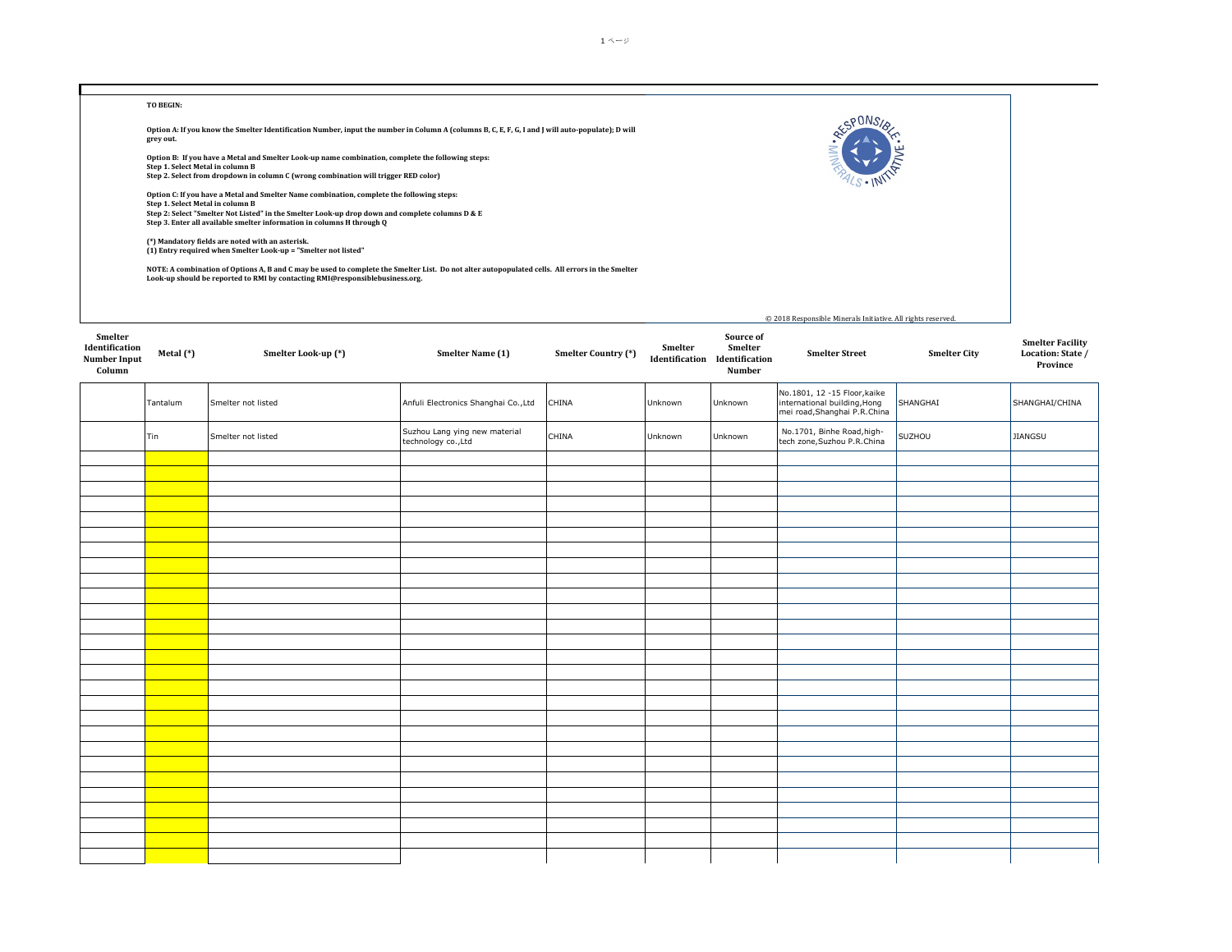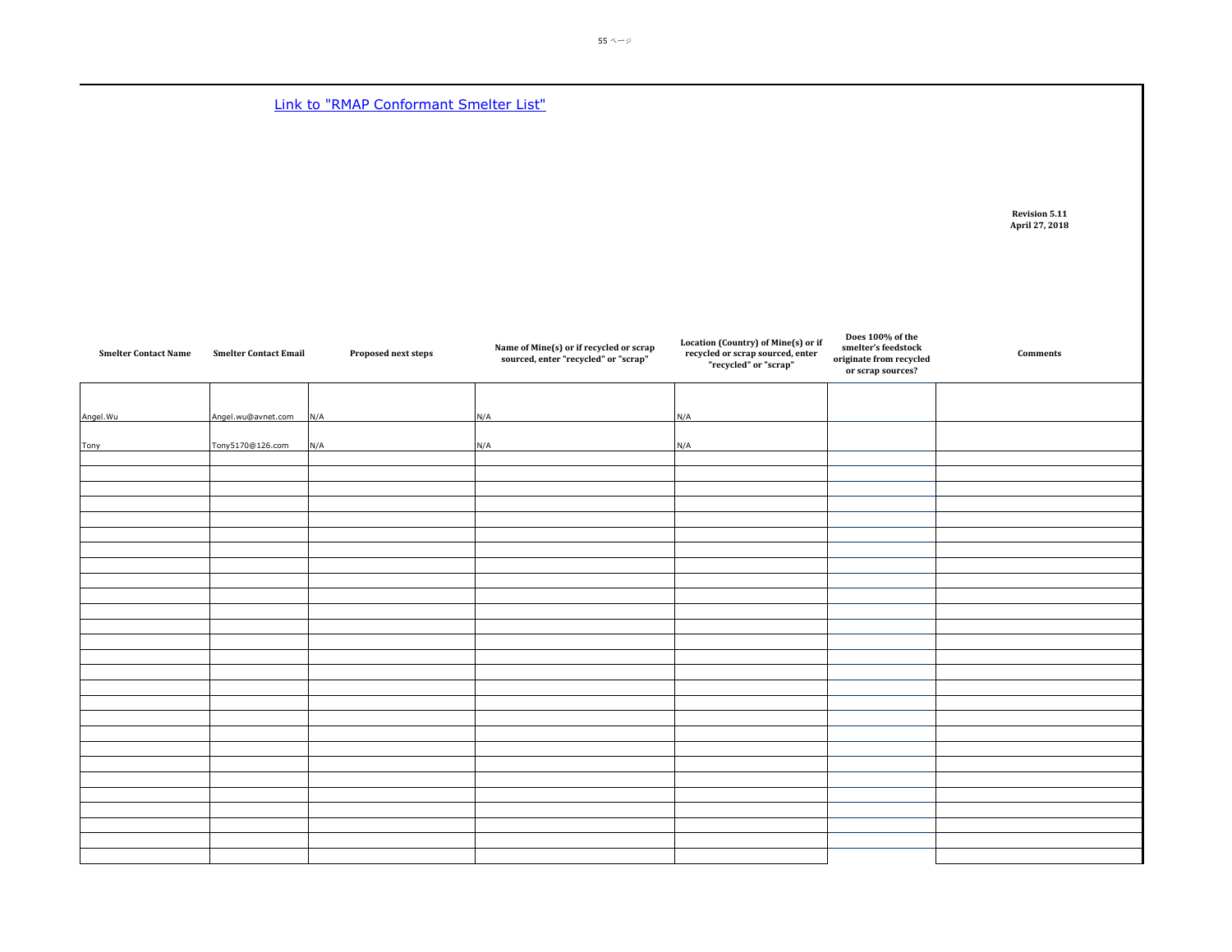**Link to "RMAP Conformant Smelter List"** 

**Revision 5.11 April 27, 2018**

| <b>Smelter Contact Name</b> | <b>Smelter Contact Email</b> | Proposed next steps | Name of Mine(s) or if recycled or scrap<br>sourced, enter "recycled" or "scrap" | Location (Country) of Mine(s) or if<br>recycled or scrap sourced, enter<br>"recycled" or "scrap" | Does 100% of the<br>smelter's feedstock<br>originate from recycled<br>or scrap sources? | Comments |
|-----------------------------|------------------------------|---------------------|---------------------------------------------------------------------------------|--------------------------------------------------------------------------------------------------|-----------------------------------------------------------------------------------------|----------|
| Angel. Wu                   | Angel.wu@avnet.com           | N/A                 | N/A                                                                             | N/A                                                                                              |                                                                                         |          |
| <b>Tony</b>                 | Tony5170@126.com             | N/A                 | N/A                                                                             | N/A                                                                                              |                                                                                         |          |
|                             |                              |                     |                                                                                 |                                                                                                  |                                                                                         |          |
|                             |                              |                     |                                                                                 |                                                                                                  |                                                                                         |          |
|                             |                              |                     |                                                                                 |                                                                                                  |                                                                                         |          |
|                             |                              |                     |                                                                                 |                                                                                                  |                                                                                         |          |
|                             |                              |                     |                                                                                 |                                                                                                  |                                                                                         |          |
|                             |                              |                     |                                                                                 |                                                                                                  |                                                                                         |          |
|                             |                              |                     |                                                                                 |                                                                                                  |                                                                                         |          |
|                             |                              |                     |                                                                                 |                                                                                                  |                                                                                         |          |
|                             |                              |                     |                                                                                 |                                                                                                  |                                                                                         |          |
|                             |                              |                     |                                                                                 |                                                                                                  |                                                                                         |          |
|                             |                              |                     |                                                                                 |                                                                                                  |                                                                                         |          |
|                             |                              |                     |                                                                                 |                                                                                                  |                                                                                         |          |
|                             |                              |                     |                                                                                 |                                                                                                  |                                                                                         |          |
|                             |                              |                     |                                                                                 |                                                                                                  |                                                                                         |          |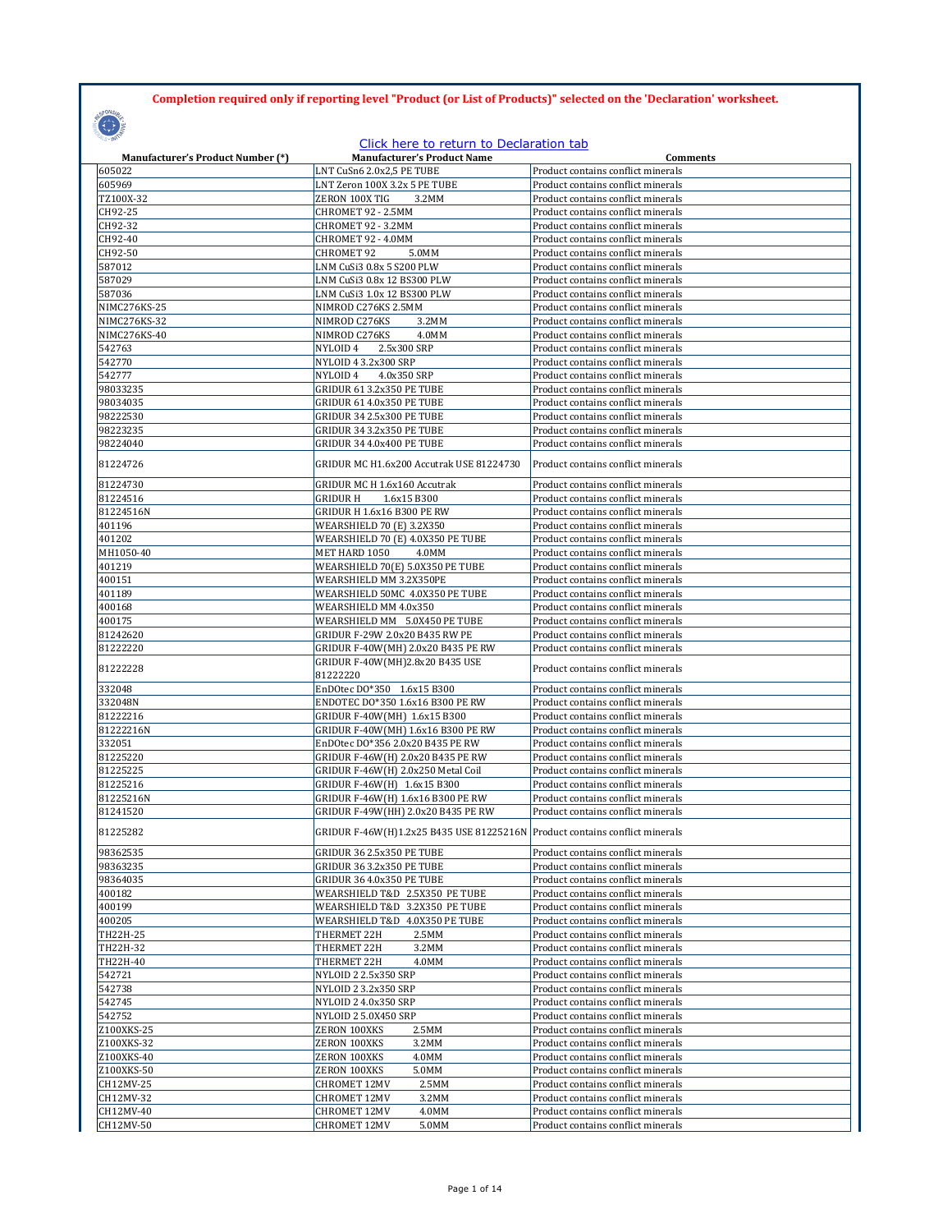## **Completion required only if reporting level "Product (or List of Products)" selected on the 'Declaration' worksheet.**

**COLLECT** 

## Click here to return to Declaration tab

| <b>Manufacturer's Product Number (*)</b> | <b>Manufacturer's Product Name</b>                                            | Comments                                                                 |
|------------------------------------------|-------------------------------------------------------------------------------|--------------------------------------------------------------------------|
| 605022                                   | LNT CuSn6 2.0x2,5 PE TUBE                                                     | Product contains conflict minerals                                       |
| 605969                                   | LNT Zeron 100X 3.2x 5 PE TUBE                                                 | Product contains conflict minerals                                       |
| TZ100X-32                                | ZERON 100X TIG<br>3.2MM                                                       | Product contains conflict minerals                                       |
| CH92-25                                  | CHROMET 92 - 2.5MM                                                            | Product contains conflict minerals                                       |
| CH92-32                                  | CHROMET 92 - 3.2MM                                                            | Product contains conflict minerals                                       |
| CH92-40                                  | CHROMET 92 - 4.0MM                                                            | Product contains conflict minerals                                       |
| CH92-50<br>587012                        | <b>CHROMET 92</b><br>5.0MM<br>LNM CuSi3 0.8x 5 S200 PLW                       | Product contains conflict minerals<br>Product contains conflict minerals |
| 587029                                   | LNM CuSi3 0.8x 12 BS300 PLW                                                   | Product contains conflict minerals                                       |
| 587036                                   | LNM CuSi3 1.0x 12 BS300 PLW                                                   | Product contains conflict minerals                                       |
| NIMC276KS-25                             | NIMROD C276KS 2.5MM                                                           | Product contains conflict minerals                                       |
| NIMC276KS-32                             | NIMROD C276KS<br>3.2MM                                                        | Product contains conflict minerals                                       |
| NIMC276KS-40                             | NIMROD C276KS<br>4.0MM                                                        | Product contains conflict minerals                                       |
| 542763                                   | NYLOID 4<br>2.5x300 SRP                                                       | Product contains conflict minerals                                       |
| 542770                                   | NYLOID 4 3.2x300 SRP                                                          | Product contains conflict minerals                                       |
| 542777                                   | NYLOID 4<br>4.0x350 SRP                                                       | Product contains conflict minerals                                       |
| 98033235                                 | GRIDUR 61 3.2x350 PE TUBE                                                     | Product contains conflict minerals                                       |
| 98034035                                 | GRIDUR 61 4.0x350 PE TUBE                                                     | Product contains conflict minerals                                       |
| 98222530                                 | GRIDUR 34 2.5x300 PE TUBE                                                     | Product contains conflict minerals                                       |
| 98223235                                 | GRIDUR 34 3.2x350 PE TUBE                                                     | Product contains conflict minerals                                       |
| 98224040                                 | GRIDUR 34 4.0x400 PE TUBE                                                     | Product contains conflict minerals                                       |
| 81224726                                 | GRIDUR MC H1.6x200 Accutrak USE 81224730                                      | Product contains conflict minerals                                       |
| 81224730                                 | GRIDUR MC H 1.6x160 Accutrak                                                  | Product contains conflict minerals                                       |
| 81224516                                 | GRIDUR H<br>1.6x15 B300                                                       | Product contains conflict minerals                                       |
| 81224516N                                | GRIDUR H 1.6x16 B300 PE RW                                                    | Product contains conflict minerals                                       |
| 401196                                   | WEARSHIELD 70 (E) 3.2X350                                                     | Product contains conflict minerals                                       |
| 401202<br>MH1050-40                      | WEARSHIELD 70 (E) 4.0X350 PE TUBE                                             | Product contains conflict minerals<br>Product contains conflict minerals |
| 401219                                   | MET HARD 1050<br>4.0MM<br>WEARSHIELD 70(E) 5.0X350 PE TUBE                    | Product contains conflict minerals                                       |
| 400151                                   | WEARSHIELD MM 3.2X350PE                                                       | Product contains conflict minerals                                       |
| 401189                                   | WEARSHIELD 50MC 4.0X350 PE TUBE                                               | Product contains conflict minerals                                       |
| 400168                                   | WEARSHIELD MM 4.0x350                                                         | Product contains conflict minerals                                       |
| 400175                                   | WEARSHIELD MM 5.0X450 PE TUBE                                                 | Product contains conflict minerals                                       |
| 81242620                                 | GRIDUR F-29W 2.0x20 B435 RW PE                                                | Product contains conflict minerals                                       |
| 81222220                                 | GRIDUR F-40W(MH) 2.0x20 B435 PE RW                                            | Product contains conflict minerals                                       |
| 81222228                                 | GRIDUR F-40W(MH)2.8x20 B435 USE<br>81222220                                   | Product contains conflict minerals                                       |
| 332048                                   | EnDOtec DO*350 1.6x15 B300                                                    | Product contains conflict minerals                                       |
| 332048N                                  | ENDOTEC DO*350 1.6x16 B300 PE RW                                              | Product contains conflict minerals                                       |
| 81222216                                 | GRIDUR F-40W(MH) 1.6x15 B300                                                  | Product contains conflict minerals                                       |
| 81222216N                                | GRIDUR F-40W(MH) 1.6x16 B300 PE RW                                            | Product contains conflict minerals                                       |
| 332051                                   | EnDOtec DO*356 2.0x20 B435 PE RW                                              | Product contains conflict minerals                                       |
| 81225220                                 | GRIDUR F-46W(H) 2.0x20 B435 PE RW                                             | Product contains conflict minerals                                       |
| 81225225                                 | GRIDUR F-46W(H) 2.0x250 Metal Coil                                            | Product contains conflict minerals<br>Product contains conflict minerals |
| 81225216<br>81225216N                    | GRIDUR F-46W(H) 1.6x15 B300<br>GRIDUR F-46W(H) 1.6x16 B300 PE RW              | Product contains conflict minerals                                       |
| 81241520                                 | GRIDUR F-49W(HH) 2.0x20 B435 PE RW                                            | Product contains conflict minerals                                       |
| 81225282                                 | GRIDUR F-46W(H)1.2x25 B435 USE 81225216N   Product contains conflict minerals |                                                                          |
|                                          |                                                                               |                                                                          |
| 98362535<br>98363235                     | <b>GRIDUR 36 2.5x350 PE TUBE</b><br><b>GRIDUR 36 3.2x350 PE TUBE</b>          | Product contains conflict minerals<br>Product contains conflict minerals |
| 98364035                                 | <b>GRIDUR 36 4.0x350 PE TUBE</b>                                              | Product contains conflict minerals                                       |
| 400182                                   | WEARSHIELD T&D 2.5X350 PE TUBE                                                | Product contains conflict minerals                                       |
| 400199                                   | WEARSHIELD T&D 3.2X350 PE TUBE                                                | Product contains conflict minerals                                       |
| 400205                                   | WEARSHIELD T&D 4.0X350 PE TUBE                                                | Product contains conflict minerals                                       |
| TH22H-25                                 | THERMET 22H<br>2.5MM                                                          | Product contains conflict minerals                                       |
| TH22H-32                                 | THERMET 22H<br>3.2MM                                                          | Product contains conflict minerals                                       |
| TH22H-40                                 | THERMET 22H<br>4.0MM                                                          | Product contains conflict minerals                                       |
| 542721                                   | NYLOID 2 2.5x350 SRP                                                          | Product contains conflict minerals                                       |
| 542738                                   | NYLOID 2 3.2x350 SRP                                                          | Product contains conflict minerals                                       |
| 542745                                   | NYLOID 2 4.0x350 SRP                                                          | Product contains conflict minerals                                       |
| 542752                                   | NYLOID 2 5.0X450 SRP                                                          | Product contains conflict minerals                                       |
| Z100XKS-25                               | ZERON 100XKS<br>2.5MM                                                         | Product contains conflict minerals                                       |
| Z100XKS-32                               | ZERON 100XKS<br>3.2MM                                                         | Product contains conflict minerals                                       |
| Z100XKS-40<br>Z100XKS-50                 | ZERON 100XKS<br>4.0MM<br>ZERON 100XKS<br>5.0MM                                | Product contains conflict minerals<br>Product contains conflict minerals |
| CH12MV-25                                | CHROMET 12MV<br>2.5MM                                                         | Product contains conflict minerals                                       |
| CH12MV-32                                | CHROMET 12MV<br>3.2MM                                                         | Product contains conflict minerals                                       |
| CH12MV-40                                | <b>CHROMET 12MV</b><br>4.0MM                                                  | Product contains conflict minerals                                       |
| CH12MV-50                                | CHROMET 12MV<br>5.0MM                                                         | Product contains conflict minerals                                       |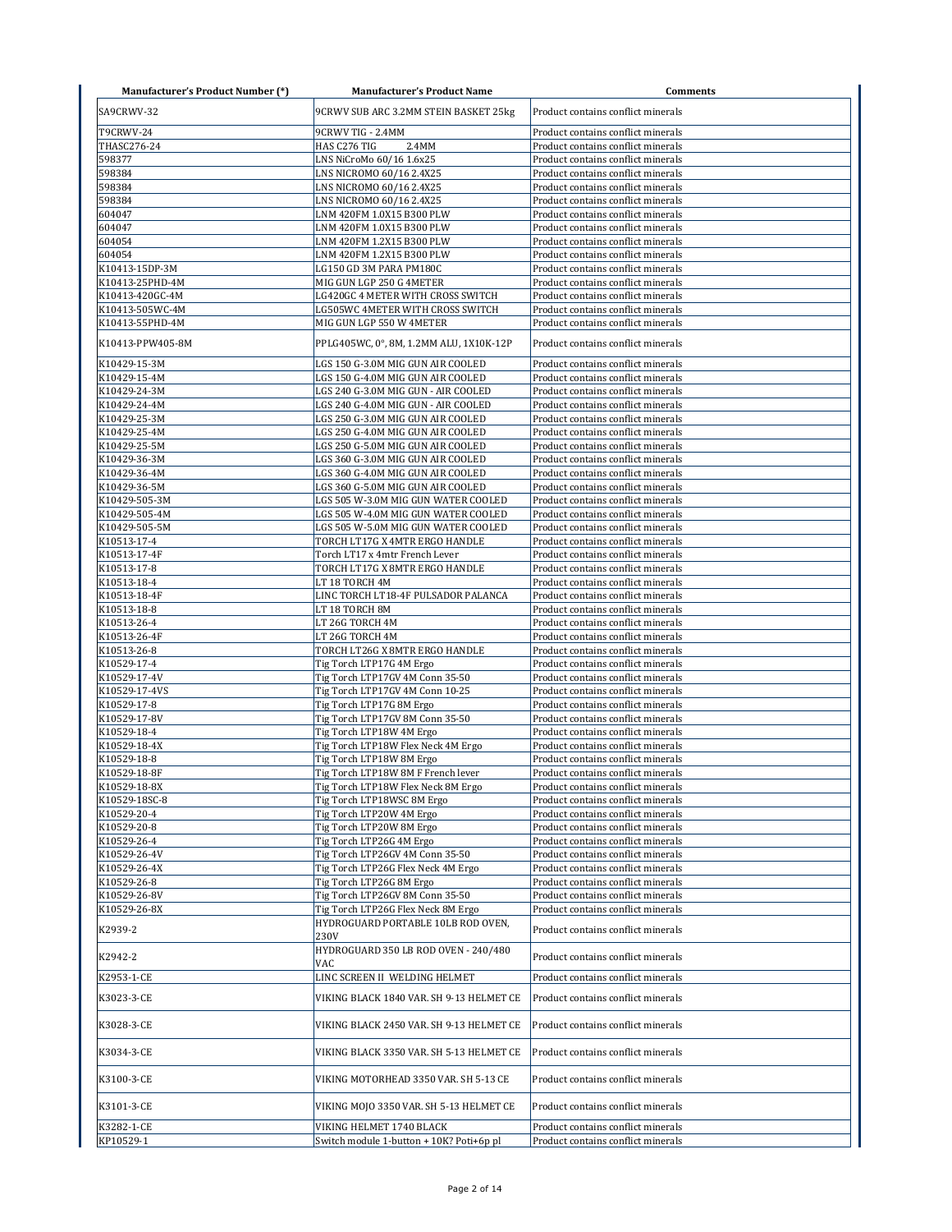| <b>Manufacturer's Product Number (*)</b> | <b>Manufacturer's Product Name</b>                   | <b>Comments</b>                                                          |
|------------------------------------------|------------------------------------------------------|--------------------------------------------------------------------------|
| SA9CRWV-32                               | 9CRWV SUB ARC 3.2MM STEIN BASKET 25kg                | Product contains conflict minerals                                       |
|                                          |                                                      |                                                                          |
| T9CRWV-24                                | 9CRWV TIG - 2.4MM                                    | Product contains conflict minerals                                       |
| THASC276-24                              | HAS C276 TIG<br>2.4MM                                | Product contains conflict minerals                                       |
| 598377                                   | LNS NiCroMo 60/16 1.6x25                             | Product contains conflict minerals                                       |
| 598384                                   | LNS NICROMO 60/16 2.4X25                             | Product contains conflict minerals                                       |
| 598384                                   | LNS NICROMO 60/16 2.4X25                             | Product contains conflict minerals                                       |
| 598384                                   | LNS NICROMO 60/16 2.4X25                             | Product contains conflict minerals                                       |
| 604047                                   | LNM 420FM 1.0X15 B300 PLW                            | Product contains conflict minerals                                       |
| 604047                                   | LNM 420FM 1.0X15 B300 PLW                            | Product contains conflict minerals                                       |
| 604054                                   | LNM 420FM 1.2X15 B300 PLW                            | Product contains conflict minerals                                       |
| 604054<br>K10413-15DP-3M                 | LNM 420FM 1.2X15 B300 PLW<br>LG150 GD 3M PARA PM180C | Product contains conflict minerals<br>Product contains conflict minerals |
| K10413-25PHD-4M                          | MIG GUN LGP 250 G 4METER                             | Product contains conflict minerals                                       |
| K10413-420GC-4M                          | LG420GC 4 METER WITH CROSS SWITCH                    | Product contains conflict minerals                                       |
| K10413-505WC-4M                          | LG505WC 4METER WITH CROSS SWITCH                     | Product contains conflict minerals                                       |
| K10413-55PHD-4M                          | MIG GUN LGP 550 W 4METER                             | Product contains conflict minerals                                       |
|                                          |                                                      |                                                                          |
| K10413-PPW405-8M                         | PPLG405WC, 0°, 8M, 1.2MM ALU, 1X10K-12P              | Product contains conflict minerals                                       |
| K10429-15-3M                             | LGS 150 G-3.0M MIG GUN AIR COOLED                    | Product contains conflict minerals                                       |
| K10429-15-4M                             | LGS 150 G-4.0M MIG GUN AIR COOLED                    | Product contains conflict minerals                                       |
| K10429-24-3M                             | LGS 240 G-3.0M MIG GUN - AIR COOLED                  | Product contains conflict minerals                                       |
| K10429-24-4M                             | LGS 240 G-4.0M MIG GUN - AIR COOLED                  | Product contains conflict minerals                                       |
| K10429-25-3M                             | LGS 250 G-3.0M MIG GUN AIR COOLED                    | Product contains conflict minerals                                       |
| K10429-25-4M                             | LGS 250 G-4.0M MIG GUN AIR COOLED                    | Product contains conflict minerals                                       |
| K10429-25-5M                             | LGS 250 G-5.0M MIG GUN AIR COOLED                    | Product contains conflict minerals                                       |
| K10429-36-3M                             | LGS 360 G-3.0M MIG GUN AIR COOLED                    | Product contains conflict minerals                                       |
| K10429-36-4M                             | LGS 360 G-4.0M MIG GUN AIR COOLED                    | Product contains conflict minerals                                       |
| K10429-36-5M                             | LGS 360 G-5.0M MIG GUN AIR COOLED                    | Product contains conflict minerals                                       |
| K10429-505-3M                            | LGS 505 W-3.0M MIG GUN WATER COOLED                  | Product contains conflict minerals                                       |
| K10429-505-4M                            | LGS 505 W-4.0M MIG GUN WATER COOLED                  | Product contains conflict minerals                                       |
| K10429-505-5M                            | LGS 505 W-5.0M MIG GUN WATER COOLED                  | Product contains conflict minerals                                       |
| K10513-17-4                              | TORCH LT17G X 4MTR ERGO HANDLE                       | Product contains conflict minerals                                       |
| K10513-17-4F                             | Torch LT17 x 4mtr French Lever                       | Product contains conflict minerals                                       |
| K10513-17-8                              | TORCH LT17G X 8MTR ERGO HANDLE                       | Product contains conflict minerals                                       |
| K10513-18-4                              | LT 18 TORCH 4M                                       | Product contains conflict minerals                                       |
| K10513-18-4F<br>K10513-18-8              | LINC TORCH LT18-4F PULSADOR PALANCA                  | Product contains conflict minerals                                       |
| K10513-26-4                              | LT 18 TORCH 8M                                       | Product contains conflict minerals<br>Product contains conflict minerals |
| K10513-26-4F                             | LT 26G TORCH 4M<br>LT 26G TORCH 4M                   | Product contains conflict minerals                                       |
| K10513-26-8                              | TORCH LT26G X 8MTR ERGO HANDLE                       | Product contains conflict minerals                                       |
| K10529-17-4                              | Tig Torch LTP17G 4M Ergo                             | Product contains conflict minerals                                       |
| K10529-17-4V                             | Tig Torch LTP17GV 4M Conn 35-50                      | Product contains conflict minerals                                       |
| K10529-17-4VS                            | Tig Torch LTP17GV 4M Conn 10-25                      | Product contains conflict minerals                                       |
| K10529-17-8                              | Tig Torch LTP17G 8M Ergo                             | Product contains conflict minerals                                       |
| K10529-17-8V                             | Tig Torch LTP17GV 8M Conn 35-50                      | Product contains conflict minerals                                       |
| K10529-18-4                              | Tig Torch LTP18W 4M Ergo                             | Product contains conflict minerals                                       |
| K10529-18-4X                             | Tig Torch LTP18W Flex Neck 4M Ergo                   | Product contains conflict minerals                                       |
| K10529-18-8                              | Tig Torch LTP18W 8M Ergo                             | Product contains conflict minerals                                       |
| K10529-18-8F                             | Tig Torch LTP18W 8M F French lever                   | Product contains conflict minerals                                       |
| K10529-18-8X                             | Tig Torch LTP18W Flex Neck 8M Ergo                   | Product contains conflict minerals                                       |
| K10529-18SC-8                            | Tig Torch LTP18WSC 8M Ergo                           | Product contains conflict minerals                                       |
| K10529-20-4                              | Tig Torch LTP20W 4M Ergo                             | Product contains conflict minerals                                       |
| K10529-20-8                              | Tig Torch LTP20W 8M Ergo                             | Product contains conflict minerals                                       |
| K10529-26-4                              | Tig Torch LTP26G 4M Ergo                             | Product contains conflict minerals                                       |
| K10529-26-4V                             | Tig Torch LTP26GV 4M Conn 35-50                      | Product contains conflict minerals                                       |
| K10529-26-4X                             | Tig Torch LTP26G Flex Neck 4M Ergo                   | Product contains conflict minerals                                       |
| K10529-26-8                              | Tig Torch LTP26G 8M Ergo                             | Product contains conflict minerals                                       |
| K10529-26-8V                             | Tig Torch LTP26GV 8M Conn 35-50                      | Product contains conflict minerals                                       |
| K10529-26-8X                             | Tig Torch LTP26G Flex Neck 8M Ergo                   | Product contains conflict minerals                                       |
| K2939-2                                  | HYDROGUARD PORTABLE 10LB ROD OVEN,<br>230V           | Product contains conflict minerals                                       |
| K2942-2                                  | HYDROGUARD 350 LB ROD OVEN - 240/480                 | Product contains conflict minerals                                       |
|                                          | VAC                                                  |                                                                          |
| K2953-1-CE                               | LINC SCREEN II WELDING HELMET                        | Product contains conflict minerals                                       |
| K3023-3-CE                               | VIKING BLACK 1840 VAR. SH 9-13 HELMET CE             | Product contains conflict minerals                                       |
| K3028-3-CE                               | VIKING BLACK 2450 VAR. SH 9-13 HELMET CE             | Product contains conflict minerals                                       |
| K3034-3-CE                               | VIKING BLACK 3350 VAR. SH 5-13 HELMET CE             | Product contains conflict minerals                                       |
| K3100-3-CE                               | VIKING MOTORHEAD 3350 VAR. SH 5-13 CE                | Product contains conflict minerals                                       |
| K3101-3-CE                               | VIKING MOJO 3350 VAR. SH 5-13 HELMET CE              | Product contains conflict minerals                                       |
| K3282-1-CE                               | VIKING HELMET 1740 BLACK                             | Product contains conflict minerals                                       |
| KP10529-1                                | Switch module 1-button + 10K? Poti+6p pl             | Product contains conflict minerals                                       |